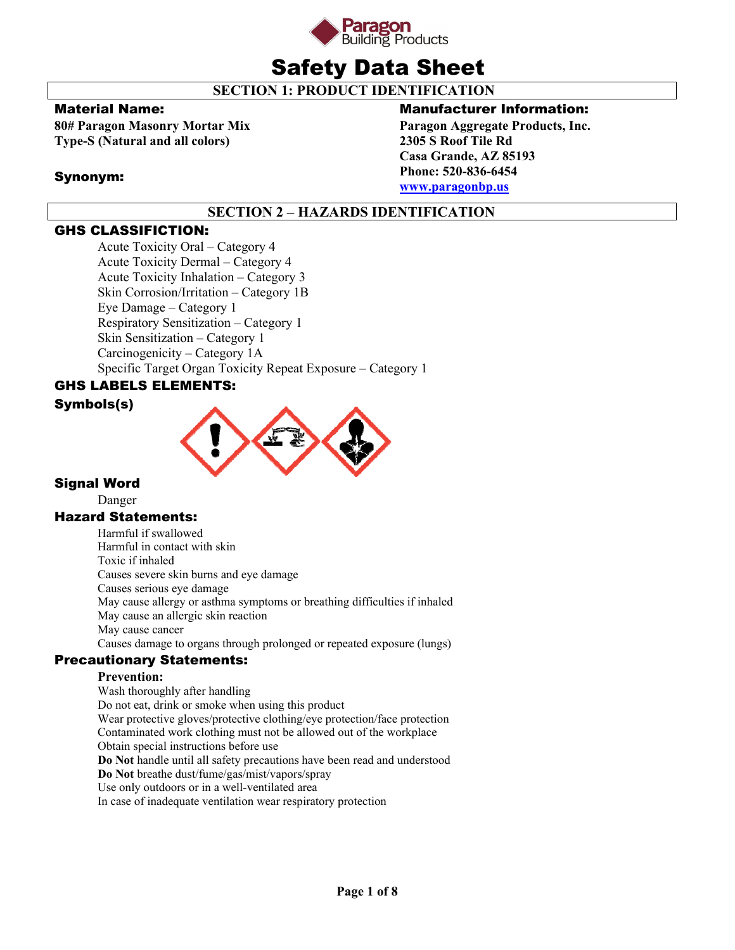

# Safety Data Sheet

**SECTION 1: PRODUCT IDENTIFICATION** 

# Material Name:

Synonym:

**80# Paragon Masonry Mortar Mix Type-S (Natural and all colors)** 

# Manufacturer Information:

**Paragon Aggregate Products, Inc. 2305 S Roof Tile Rd Casa Grande, AZ 85193 Phone: 520-836-6454 www.paragonbp.us**

# **SECTION 2 – HAZARDS IDENTIFICATION**

# GHS CLASSIFICTION:

Acute Toxicity Oral – Category 4 Acute Toxicity Dermal – Category 4 Acute Toxicity Inhalation – Category 3 Skin Corrosion/Irritation – Category 1B Eye Damage – Category 1 Respiratory Sensitization – Category 1 Skin Sensitization – Category 1 Carcinogenicity – Category 1A Specific Target Organ Toxicity Repeat Exposure – Category 1

# GHS LABELS ELEMENTS:

# Symbols(s)



# Signal Word

Danger

# Hazard Statements:

Harmful if swallowed Harmful in contact with skin Toxic if inhaled Causes severe skin burns and eye damage Causes serious eye damage May cause allergy or asthma symptoms or breathing difficulties if inhaled May cause an allergic skin reaction May cause cancer Causes damage to organs through prolonged or repeated exposure (lungs)

# Precautionary Statements:

# **Prevention:**

Wash thoroughly after handling Do not eat, drink or smoke when using this product Wear protective gloves/protective clothing/eye protection/face protection Contaminated work clothing must not be allowed out of the workplace Obtain special instructions before use **Do Not** handle until all safety precautions have been read and understood **Do Not** breathe dust/fume/gas/mist/vapors/spray Use only outdoors or in a well-ventilated area In case of inadequate ventilation wear respiratory protection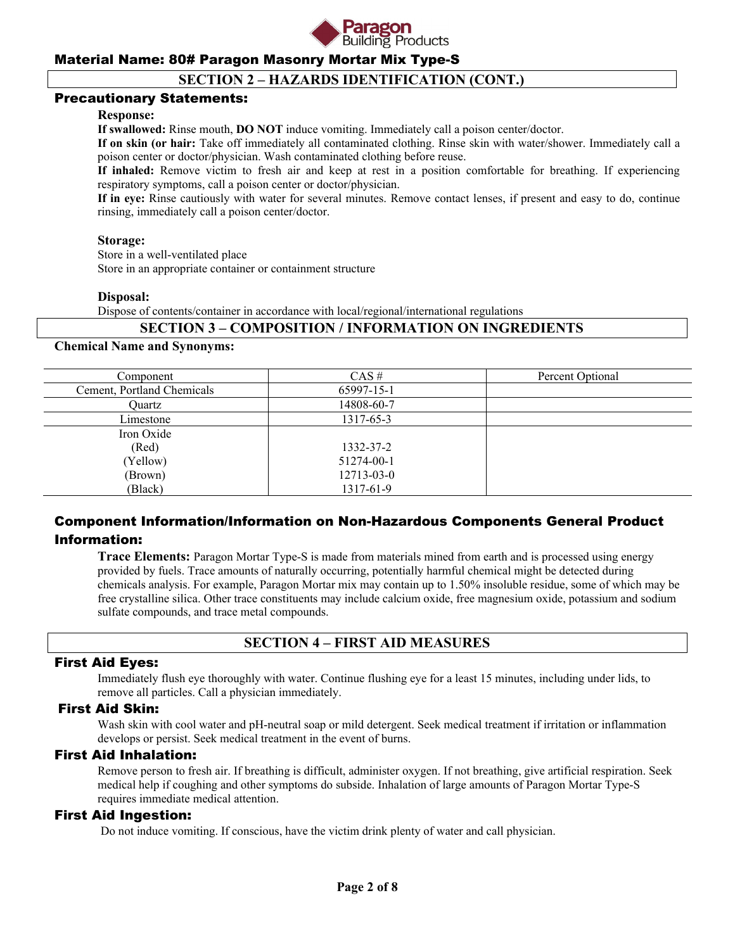

# **SECTION 2 – HAZARDS IDENTIFICATION (CONT.)**

#### Precautionary Statements:

#### **Response:**

**If swallowed:** Rinse mouth, **DO NOT** induce vomiting. Immediately call a poison center/doctor.

**If on skin (or hair:** Take off immediately all contaminated clothing. Rinse skin with water/shower. Immediately call a poison center or doctor/physician. Wash contaminated clothing before reuse.

**If inhaled:** Remove victim to fresh air and keep at rest in a position comfortable for breathing. If experiencing respiratory symptoms, call a poison center or doctor/physician.

**If in eye:** Rinse cautiously with water for several minutes. Remove contact lenses, if present and easy to do, continue rinsing, immediately call a poison center/doctor.

#### **Storage:**

Store in a well-ventilated place

Store in an appropriate container or containment structure

#### **Disposal:**

Dispose of contents/container in accordance with local/regional/international regulations

### **SECTION 3 – COMPOSITION / INFORMATION ON INGREDIENTS**

#### **Chemical Name and Synonyms:**

| Component                  | $CAS \#$   | Percent Optional |
|----------------------------|------------|------------------|
| Cement, Portland Chemicals | 65997-15-1 |                  |
| Ouartz                     | 14808-60-7 |                  |
| Limestone                  | 1317-65-3  |                  |
| Iron Oxide                 |            |                  |
| (Red)                      | 1332-37-2  |                  |
| (Yellow)                   | 51274-00-1 |                  |
| (Brown)                    | 12713-03-0 |                  |
| (Black)                    | 1317-61-9  |                  |

# Component Information/Information on Non-Hazardous Components General Product Information:

**Trace Elements:** Paragon Mortar Type-S is made from materials mined from earth and is processed using energy provided by fuels. Trace amounts of naturally occurring, potentially harmful chemical might be detected during chemicals analysis. For example, Paragon Mortar mix may contain up to 1.50% insoluble residue, some of which may be free crystalline silica. Other trace constituents may include calcium oxide, free magnesium oxide, potassium and sodium sulfate compounds, and trace metal compounds.

# **SECTION 4 – FIRST AID MEASURES**

#### First Aid Eyes:

Immediately flush eye thoroughly with water. Continue flushing eye for a least 15 minutes, including under lids, to remove all particles. Call a physician immediately.

#### First Aid Skin:

Wash skin with cool water and pH-neutral soap or mild detergent. Seek medical treatment if irritation or inflammation develops or persist. Seek medical treatment in the event of burns.

#### First Aid Inhalation:

Remove person to fresh air. If breathing is difficult, administer oxygen. If not breathing, give artificial respiration. Seek medical help if coughing and other symptoms do subside. Inhalation of large amounts of Paragon Mortar Type-S requires immediate medical attention.

### First Aid Ingestion:

Do not induce vomiting. If conscious, have the victim drink plenty of water and call physician.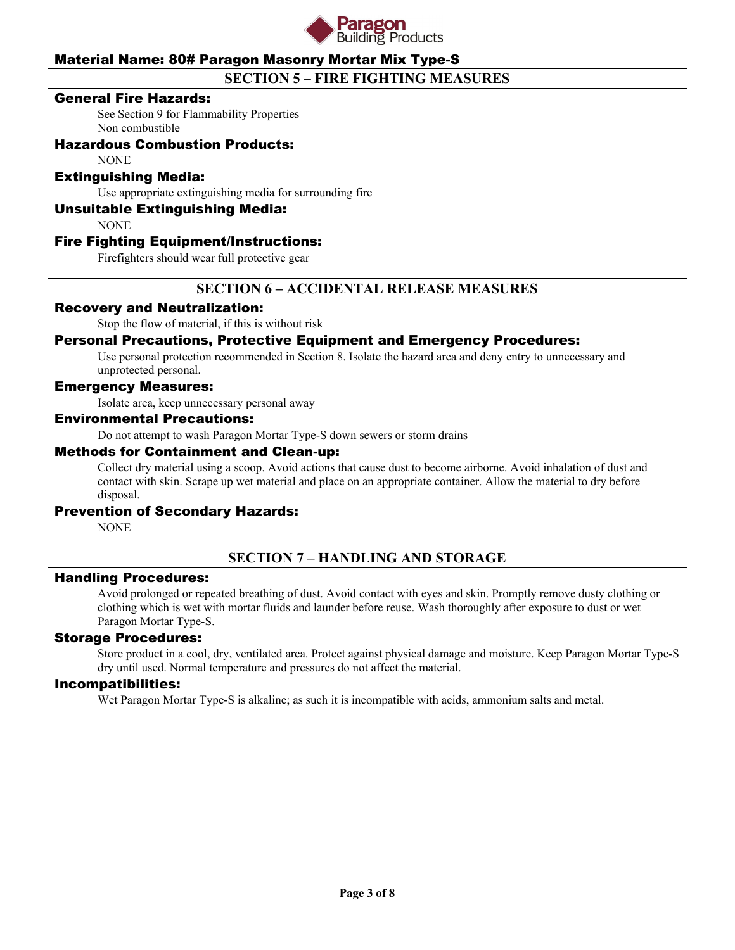

# **SECTION 5 – FIRE FIGHTING MEASURES**

### General Fire Hazards:

See Section 9 for Flammability Properties Non combustible

# Hazardous Combustion Products:

NONE

### Extinguishing Media:

Use appropriate extinguishing media for surrounding fire

### Unsuitable Extinguishing Media:

NONE

### Fire Fighting Equipment/Instructions:

Firefighters should wear full protective gear

# **SECTION 6 – ACCIDENTAL RELEASE MEASURES**

# Recovery and Neutralization:

Stop the flow of material, if this is without risk

### Personal Precautions, Protective Equipment and Emergency Procedures:

Use personal protection recommended in Section 8. Isolate the hazard area and deny entry to unnecessary and unprotected personal.

#### Emergency Measures:

Isolate area, keep unnecessary personal away

#### Environmental Precautions:

Do not attempt to wash Paragon Mortar Type-S down sewers or storm drains

#### Methods for Containment and Clean-up:

Collect dry material using a scoop. Avoid actions that cause dust to become airborne. Avoid inhalation of dust and contact with skin. Scrape up wet material and place on an appropriate container. Allow the material to dry before disposal.

#### Prevention of Secondary Hazards:

NONE

# **SECTION 7 – HANDLING AND STORAGE**

### Handling Procedures:

Avoid prolonged or repeated breathing of dust. Avoid contact with eyes and skin. Promptly remove dusty clothing or clothing which is wet with mortar fluids and launder before reuse. Wash thoroughly after exposure to dust or wet Paragon Mortar Type-S.

### Storage Procedures:

Store product in a cool, dry, ventilated area. Protect against physical damage and moisture. Keep Paragon Mortar Type-S dry until used. Normal temperature and pressures do not affect the material.

#### Incompatibilities:

Wet Paragon Mortar Type-S is alkaline; as such it is incompatible with acids, ammonium salts and metal.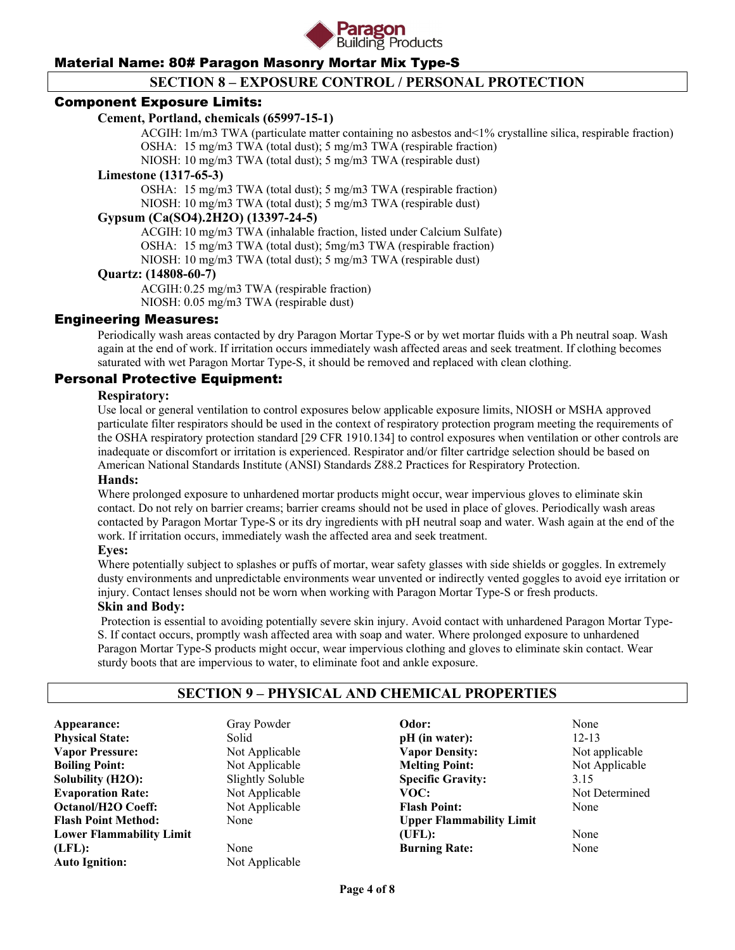

# **SECTION 8 – EXPOSURE CONTROL / PERSONAL PROTECTION**

### Component Exposure Limits:

### **Cement, Portland, chemicals (65997-15-1)**

 ACGIH: 1m/m3 TWA (particulate matter containing no asbestos and<1% crystalline silica, respirable fraction) OSHA: 15 mg/m3 TWA (total dust); 5 mg/m3 TWA (respirable fraction)

NIOSH: 10 mg/m3 TWA (total dust); 5 mg/m3 TWA (respirable dust)

#### **Limestone (1317-65-3)**

 OSHA: 15 mg/m3 TWA (total dust); 5 mg/m3 TWA (respirable fraction) NIOSH: 10 mg/m3 TWA (total dust); 5 mg/m3 TWA (respirable dust)

### **Gypsum (Ca(SO4).2H2O) (13397-24-5)**

 ACGIH: 10 mg/m3 TWA (inhalable fraction, listed under Calcium Sulfate) OSHA: 15 mg/m3 TWA (total dust); 5mg/m3 TWA (respirable fraction) NIOSH: 10 mg/m3 TWA (total dust); 5 mg/m3 TWA (respirable dust)

#### **Quartz: (14808-60-7)**

 ACGIH: 0.25 mg/m3 TWA (respirable fraction) NIOSH: 0.05 mg/m3 TWA (respirable dust)

### Engineering Measures:

Periodically wash areas contacted by dry Paragon Mortar Type-S or by wet mortar fluids with a Ph neutral soap. Wash again at the end of work. If irritation occurs immediately wash affected areas and seek treatment. If clothing becomes saturated with wet Paragon Mortar Type-S, it should be removed and replaced with clean clothing.

# Personal Protective Equipment:

#### **Respiratory:**

Use local or general ventilation to control exposures below applicable exposure limits, NIOSH or MSHA approved particulate filter respirators should be used in the context of respiratory protection program meeting the requirements of the OSHA respiratory protection standard [29 CFR 1910.134] to control exposures when ventilation or other controls are inadequate or discomfort or irritation is experienced. Respirator and/or filter cartridge selection should be based on American National Standards Institute (ANSI) Standards Z88.2 Practices for Respiratory Protection.

#### **Hands:**

Where prolonged exposure to unhardened mortar products might occur, wear impervious gloves to eliminate skin contact. Do not rely on barrier creams; barrier creams should not be used in place of gloves. Periodically wash areas contacted by Paragon Mortar Type-S or its dry ingredients with pH neutral soap and water. Wash again at the end of the work. If irritation occurs, immediately wash the affected area and seek treatment.

#### **Eyes:**

Where potentially subject to splashes or puffs of mortar, wear safety glasses with side shields or goggles. In extremely dusty environments and unpredictable environments wear unvented or indirectly vented goggles to avoid eye irritation or injury. Contact lenses should not be worn when working with Paragon Mortar Type-S or fresh products.

#### **Skin and Body:**

Protection is essential to avoiding potentially severe skin injury. Avoid contact with unhardened Paragon Mortar Type-S. If contact occurs, promptly wash affected area with soap and water. Where prolonged exposure to unhardened Paragon Mortar Type-S products might occur, wear impervious clothing and gloves to eliminate skin contact. Wear sturdy boots that are impervious to water, to eliminate foot and ankle exposure.

# **SECTION 9 – PHYSICAL AND CHEMICAL PROPERTIES**

Appearance: Gray Powder Physical State: Solid **Vapor Pressure:** Not Applicable **Boiling Point:** Not Applicable **Solubility (H2O):** Slightly Soluble **Evaporation Rate:** Not Applicable **Octanol/H2O Coeff:** Not Applicable **Flash Point Method:** None **Lower Flammability Limit (LFL):** None **Auto Ignition:** Not Applicable

**Odor:** None **pH** (in water): 12-13 **Vapor Density:** Not applicable **Melting Point:** Not Applicable **Specific Gravity:** 3.15 VOC: Not Determined **Flash Point:** None **Upper Flammability Limit (UFL):** None **Burning Rate:** None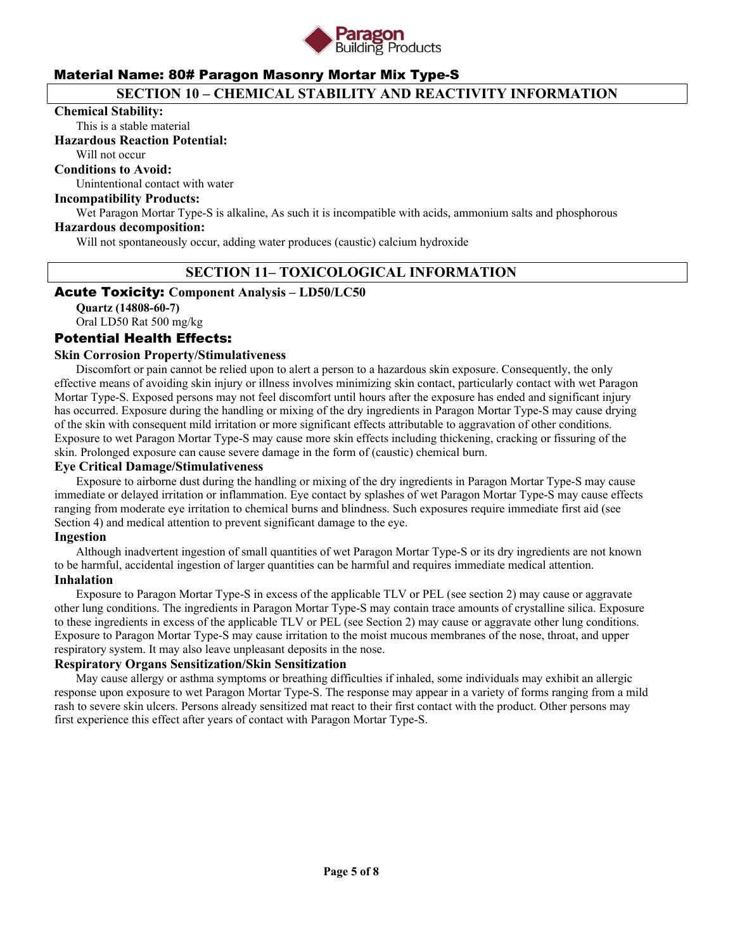

# **SECTION 10 – CHEMICAL STABILITY AND REACTIVITY INFORMATION**

#### **Chemical Stability:**

This is a stable material

#### **Hazardous Reaction Potential:**

Will not occur

**Conditions to Avoid:**

Unintentional contact with water

#### **Incompatibility Products:**

Wet Paragon Mortar Type-S is alkaline, As such it is incompatible with acids, ammonium salts and phosphorous

### **Hazardous decomposition:**

Will not spontaneously occur, adding water produces (caustic) calcium hydroxide

# **SECTION 11– TOXICOLOGICAL INFORMATION**

### Acute Toxicity: **Component Analysis – LD50/LC50**

**Quartz (14808-60-7)**  Oral LD50 Rat 500 mg/kg

# Potential Health Effects:

### **Skin Corrosion Property/Stimulativeness**

 Discomfort or pain cannot be relied upon to alert a person to a hazardous skin exposure. Consequently, the only effective means of avoiding skin injury or illness involves minimizing skin contact, particularly contact with wet Paragon Mortar Type-S. Exposed persons may not feel discomfort until hours after the exposure has ended and significant injury has occurred. Exposure during the handling or mixing of the dry ingredients in Paragon Mortar Type-S may cause drying of the skin with consequent mild irritation or more significant effects attributable to aggravation of other conditions. Exposure to wet Paragon Mortar Type-S may cause more skin effects including thickening, cracking or fissuring of the skin. Prolonged exposure can cause severe damage in the form of (caustic) chemical burn.

#### **Eye Critical Damage/Stimulativeness**

 Exposure to airborne dust during the handling or mixing of the dry ingredients in Paragon Mortar Type-S may cause immediate or delayed irritation or inflammation. Eye contact by splashes of wet Paragon Mortar Type-S may cause effects ranging from moderate eye irritation to chemical burns and blindness. Such exposures require immediate first aid (see Section 4) and medical attention to prevent significant damage to the eye.

#### **Ingestion**

 Although inadvertent ingestion of small quantities of wet Paragon Mortar Type-S or its dry ingredients are not known to be harmful, accidental ingestion of larger quantities can be harmful and requires immediate medical attention.

# **Inhalation**

 Exposure to Paragon Mortar Type-S in excess of the applicable TLV or PEL (see section 2) may cause or aggravate other lung conditions. The ingredients in Paragon Mortar Type-S may contain trace amounts of crystalline silica. Exposure to these ingredients in excess of the applicable TLV or PEL (see Section 2) may cause or aggravate other lung conditions. Exposure to Paragon Mortar Type-S may cause irritation to the moist mucous membranes of the nose, throat, and upper respiratory system. It may also leave unpleasant deposits in the nose.

#### **Respiratory Organs Sensitization/Skin Sensitization**

 May cause allergy or asthma symptoms or breathing difficulties if inhaled, some individuals may exhibit an allergic response upon exposure to wet Paragon Mortar Type-S. The response may appear in a variety of forms ranging from a mild rash to severe skin ulcers. Persons already sensitized mat react to their first contact with the product. Other persons may first experience this effect after years of contact with Paragon Mortar Type-S.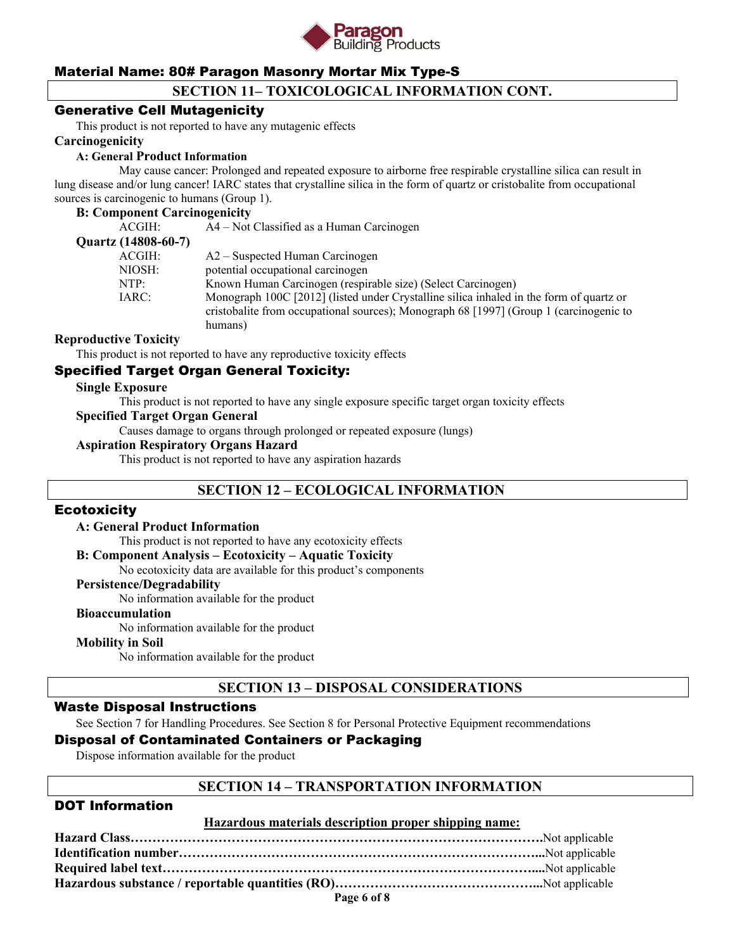

# **SECTION 11– TOXICOLOGICAL INFORMATION CONT.**

### Generative Cell Mutagenicity

This product is not reported to have any mutagenic effects

#### **Carcinogenicity**

#### **A: General Product Information**

May cause cancer: Prolonged and repeated exposure to airborne free respirable crystalline silica can result in lung disease and/or lung cancer! IARC states that crystalline silica in the form of quartz or cristobalite from occupational sources is carcinogenic to humans (Group 1).

#### **B: Component Carcinogenicity**

| ACGIH:              | A4 – Not Classified as a Human Carcinogen                                                                                                                                                    |
|---------------------|----------------------------------------------------------------------------------------------------------------------------------------------------------------------------------------------|
| Quartz (14808-60-7) |                                                                                                                                                                                              |
| ACGIH:              | $A2 -$ Suspected Human Carcinogen                                                                                                                                                            |
| NIOSH:              | potential occupational carcinogen                                                                                                                                                            |
| NTP:                | Known Human Carcinogen (respirable size) (Select Carcinogen)                                                                                                                                 |
| IARC:               | Monograph 100C [2012] (listed under Crystalline silica inhaled in the form of quartz or<br>cristobalite from occupational sources); Monograph 68 [1997] (Group 1 (carcinogenic to<br>humans) |
|                     |                                                                                                                                                                                              |

#### **Reproductive Toxicity**

This product is not reported to have any reproductive toxicity effects

# Specified Target Organ General Toxicity:

#### **Single Exposure**

This product is not reported to have any single exposure specific target organ toxicity effects

#### **Specified Target Organ General**

Causes damage to organs through prolonged or repeated exposure (lungs)

#### **Aspiration Respiratory Organs Hazard**

This product is not reported to have any aspiration hazards

# **SECTION 12 – ECOLOGICAL INFORMATION**

#### **Ecotoxicity**

#### **A: General Product Information**

This product is not reported to have any ecotoxicity effects

#### **B: Component Analysis – Ecotoxicity – Aquatic Toxicity**

No ecotoxicity data are available for this product's components

#### **Persistence/Degradability**

No information available for the product

#### **Bioaccumulation**

No information available for the product

#### **Mobility in Soil**

No information available for the product

# **SECTION 13 – DISPOSAL CONSIDERATIONS**

# Waste Disposal Instructions

See Section 7 for Handling Procedures. See Section 8 for Personal Protective Equipment recommendations

# Disposal of Contaminated Containers or Packaging

Dispose information available for the product

### **SECTION 14 – TRANSPORTATION INFORMATION**

### DOT Information

#### **Hazardous materials description proper shipping name:**

| Page 6 of 8 |  |
|-------------|--|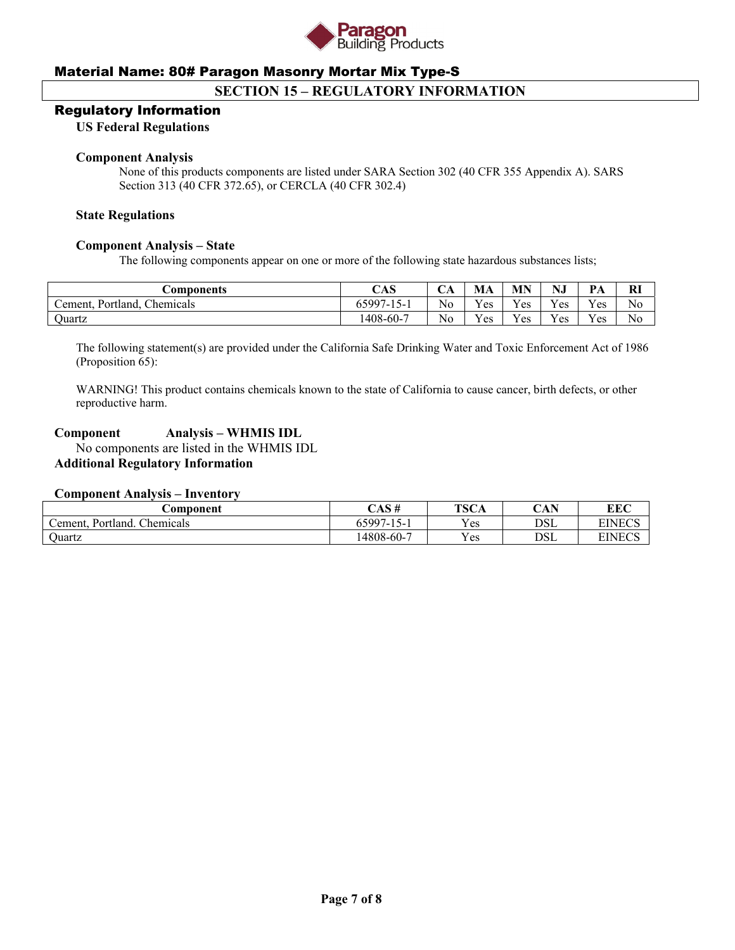

# **SECTION 15 – REGULATORY INFORMATION**

#### Regulatory Information

#### **US Federal Regulations**

#### **Component Analysis**

None of this products components are listed under SARA Section 302 (40 CFR 355 Appendix A). SARS Section 313 (40 CFR 372.65), or CERCLA (40 CFR 302.4)

#### **State Regulations**

#### **Component Analysis – State**

The following components appear on one or more of the following state hazardous substances lists;

| <b>Components</b>                             | CAS                   | ◡◠ | MA           | MN  | NJ  | PA             | <b>RI</b> |
|-----------------------------------------------|-----------------------|----|--------------|-----|-----|----------------|-----------|
| $\mathsf{L}$ ement.<br>Chemicals<br>Portland. | $65997 - 1$<br>$15 -$ | No | $v_{es}$     | Yes | Yes | $\tau$<br>Y es | No        |
| <b>Duartz</b>                                 | 1408-60-7             | No | $V_{\rm CS}$ | Yes | Yes | $v_{es}$       | No        |

The following statement(s) are provided under the California Safe Drinking Water and Toxic Enforcement Act of 1986 (Proposition 65):

WARNING! This product contains chemicals known to the state of California to cause cancer, birth defects, or other reproductive harm.

# **Component Analysis – WHMIS IDL**

 No components are listed in the WHMIS IDL **Additional Regulatory Information** 

### **Component Analysis – Inventory**

| <i>⊇</i> omponent                             | CAS #                           | <b>TSCA</b> | CAN<br>UAF | <b>EEC</b>    |
|-----------------------------------------------|---------------------------------|-------------|------------|---------------|
| $\sim$<br>cement. '<br>Portland.<br>Chemicals | - 65997-1<br>$\sim$<br>$15 - 1$ | Yes         | DSL        | <b>EINECS</b> |
| <b>Ouartz</b>                                 | 14808-60-7                      | Yes         | DSL        | <b>EINECS</b> |